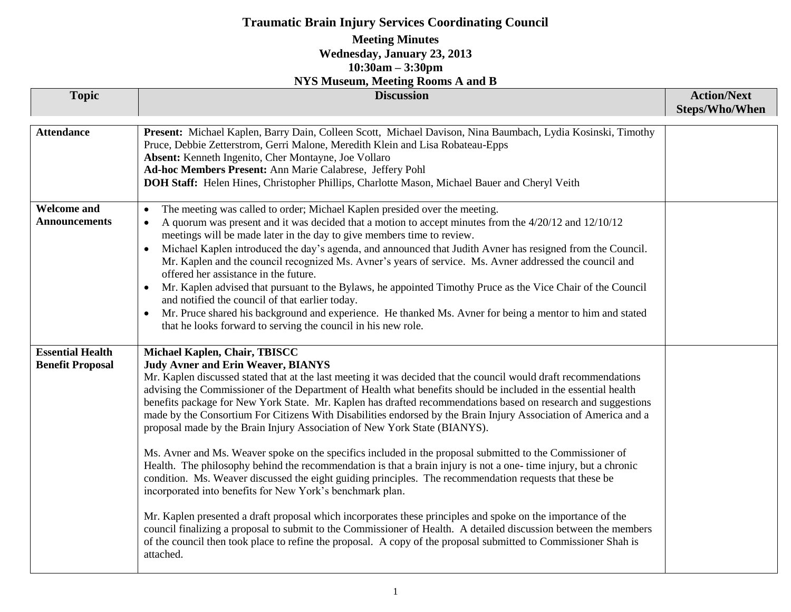# **Traumatic Brain Injury Services Coordinating Council**

#### **Meeting Minutes Wednesday, January 23, 2013 10:30am – 3:30pm NYS Museum, Meeting Rooms A and B**

| <b>Topic</b>                                       | 1110 Mascum, Mccung Rooms In and D<br><b>Discussion</b>                                                                                                                                                                                                                                                                                                                                                                                                                                                                                                                                                                                                                                                                                                                                                                                                                                                                                                                                                                                                                                                                                                                                                                                                                                                                                                                                                        | <b>Action/Next</b><br>Steps/Who/When |
|----------------------------------------------------|----------------------------------------------------------------------------------------------------------------------------------------------------------------------------------------------------------------------------------------------------------------------------------------------------------------------------------------------------------------------------------------------------------------------------------------------------------------------------------------------------------------------------------------------------------------------------------------------------------------------------------------------------------------------------------------------------------------------------------------------------------------------------------------------------------------------------------------------------------------------------------------------------------------------------------------------------------------------------------------------------------------------------------------------------------------------------------------------------------------------------------------------------------------------------------------------------------------------------------------------------------------------------------------------------------------------------------------------------------------------------------------------------------------|--------------------------------------|
| <b>Attendance</b>                                  | Present: Michael Kaplen, Barry Dain, Colleen Scott, Michael Davison, Nina Baumbach, Lydia Kosinski, Timothy<br>Pruce, Debbie Zetterstrom, Gerri Malone, Meredith Klein and Lisa Robateau-Epps<br>Absent: Kenneth Ingenito, Cher Montayne, Joe Vollaro<br>Ad-hoc Members Present: Ann Marie Calabrese, Jeffery Pohl<br>DOH Staff: Helen Hines, Christopher Phillips, Charlotte Mason, Michael Bauer and Cheryl Veith                                                                                                                                                                                                                                                                                                                                                                                                                                                                                                                                                                                                                                                                                                                                                                                                                                                                                                                                                                                            |                                      |
| <b>Welcome and</b><br><b>Announcements</b>         | The meeting was called to order; Michael Kaplen presided over the meeting.<br>A quorum was present and it was decided that a motion to accept minutes from the 4/20/12 and 12/10/12<br>meetings will be made later in the day to give members time to review.<br>Michael Kaplen introduced the day's agenda, and announced that Judith Avner has resigned from the Council.<br>Mr. Kaplen and the council recognized Ms. Avner's years of service. Ms. Avner addressed the council and<br>offered her assistance in the future.<br>Mr. Kaplen advised that pursuant to the Bylaws, he appointed Timothy Pruce as the Vice Chair of the Council<br>and notified the council of that earlier today.<br>Mr. Pruce shared his background and experience. He thanked Ms. Avner for being a mentor to him and stated<br>$\bullet$<br>that he looks forward to serving the council in his new role.                                                                                                                                                                                                                                                                                                                                                                                                                                                                                                                   |                                      |
| <b>Essential Health</b><br><b>Benefit Proposal</b> | Michael Kaplen, Chair, TBISCC<br><b>Judy Avner and Erin Weaver, BIANYS</b><br>Mr. Kaplen discussed stated that at the last meeting it was decided that the council would draft recommendations<br>advising the Commissioner of the Department of Health what benefits should be included in the essential health<br>benefits package for New York State. Mr. Kaplen has drafted recommendations based on research and suggestions<br>made by the Consortium For Citizens With Disabilities endorsed by the Brain Injury Association of America and a<br>proposal made by the Brain Injury Association of New York State (BIANYS).<br>Ms. Avner and Ms. Weaver spoke on the specifics included in the proposal submitted to the Commissioner of<br>Health. The philosophy behind the recommendation is that a brain injury is not a one- time injury, but a chronic<br>condition. Ms. Weaver discussed the eight guiding principles. The recommendation requests that these be<br>incorporated into benefits for New York's benchmark plan.<br>Mr. Kaplen presented a draft proposal which incorporates these principles and spoke on the importance of the<br>council finalizing a proposal to submit to the Commissioner of Health. A detailed discussion between the members<br>of the council then took place to refine the proposal. A copy of the proposal submitted to Commissioner Shah is<br>attached. |                                      |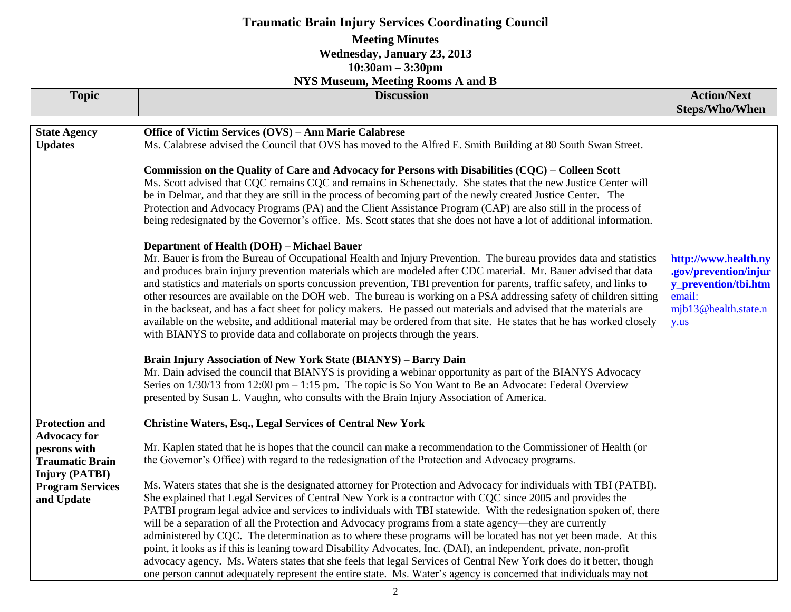# **Traumatic Brain Injury Services Coordinating Council**

#### **Meeting Minutes Wednesday, January 23, 2013 10:30am – 3:30pm**

#### **NYS Museum, Meeting Rooms A and B**

|                         | 18 IS MUSCUIN, MICCUNG KOOMS A ANG D                                                                                   |                       |
|-------------------------|------------------------------------------------------------------------------------------------------------------------|-----------------------|
| <b>Topic</b>            | <b>Discussion</b>                                                                                                      | <b>Action/Next</b>    |
|                         |                                                                                                                        | <b>Steps/Who/When</b> |
|                         |                                                                                                                        |                       |
| <b>State Agency</b>     | Office of Victim Services (OVS) - Ann Marie Calabrese                                                                  |                       |
| <b>Updates</b>          | Ms. Calabrese advised the Council that OVS has moved to the Alfred E. Smith Building at 80 South Swan Street.          |                       |
|                         |                                                                                                                        |                       |
|                         | Commission on the Quality of Care and Advocacy for Persons with Disabilities (CQC) – Colleen Scott                     |                       |
|                         | Ms. Scott advised that CQC remains CQC and remains in Schenectady. She states that the new Justice Center will         |                       |
|                         | be in Delmar, and that they are still in the process of becoming part of the newly created Justice Center. The         |                       |
|                         | Protection and Advocacy Programs (PA) and the Client Assistance Program (CAP) are also still in the process of         |                       |
|                         | being redesignated by the Governor's office. Ms. Scott states that she does not have a lot of additional information.  |                       |
|                         | <b>Department of Health (DOH) - Michael Bauer</b>                                                                      |                       |
|                         | Mr. Bauer is from the Bureau of Occupational Health and Injury Prevention. The bureau provides data and statistics     | http://www.health.ny  |
|                         | and produces brain injury prevention materials which are modeled after CDC material. Mr. Bauer advised that data       | .gov/prevention/injur |
|                         | and statistics and materials on sports concussion prevention, TBI prevention for parents, traffic safety, and links to | y_prevention/tbi.htm  |
|                         | other resources are available on the DOH web. The bureau is working on a PSA addressing safety of children sitting     | email:                |
|                         | in the backseat, and has a fact sheet for policy makers. He passed out materials and advised that the materials are    | mjb13@health.state.n  |
|                         | available on the website, and additional material may be ordered from that site. He states that he has worked closely  | y.us                  |
|                         | with BIANYS to provide data and collaborate on projects through the years.                                             |                       |
|                         |                                                                                                                        |                       |
|                         | Brain Injury Association of New York State (BIANYS) - Barry Dain                                                       |                       |
|                         | Mr. Dain advised the council that BIANYS is providing a webinar opportunity as part of the BIANYS Advocacy             |                       |
|                         | Series on 1/30/13 from 12:00 pm – 1:15 pm. The topic is So You Want to Be an Advocate: Federal Overview                |                       |
|                         | presented by Susan L. Vaughn, who consults with the Brain Injury Association of America.                               |                       |
|                         |                                                                                                                        |                       |
| <b>Protection and</b>   | <b>Christine Waters, Esq., Legal Services of Central New York</b>                                                      |                       |
| <b>Advocacy for</b>     |                                                                                                                        |                       |
| pesrons with            | Mr. Kaplen stated that he is hopes that the council can make a recommendation to the Commissioner of Health (or        |                       |
| <b>Traumatic Brain</b>  | the Governor's Office) with regard to the redesignation of the Protection and Advocacy programs.                       |                       |
| <b>Injury (PATBI)</b>   |                                                                                                                        |                       |
| <b>Program Services</b> | Ms. Waters states that she is the designated attorney for Protection and Advocacy for individuals with TBI (PATBI).    |                       |
| and Update              | She explained that Legal Services of Central New York is a contractor with CQC since 2005 and provides the             |                       |
|                         | PATBI program legal advice and services to individuals with TBI statewide. With the redesignation spoken of, there     |                       |
|                         | will be a separation of all the Protection and Advocacy programs from a state agency—they are currently                |                       |
|                         | administered by CQC. The determination as to where these programs will be located has not yet been made. At this       |                       |
|                         | point, it looks as if this is leaning toward Disability Advocates, Inc. (DAI), an independent, private, non-profit     |                       |
|                         | advocacy agency. Ms. Waters states that she feels that legal Services of Central New York does do it better, though    |                       |
|                         | one person cannot adequately represent the entire state. Ms. Water's agency is concerned that individuals may not      |                       |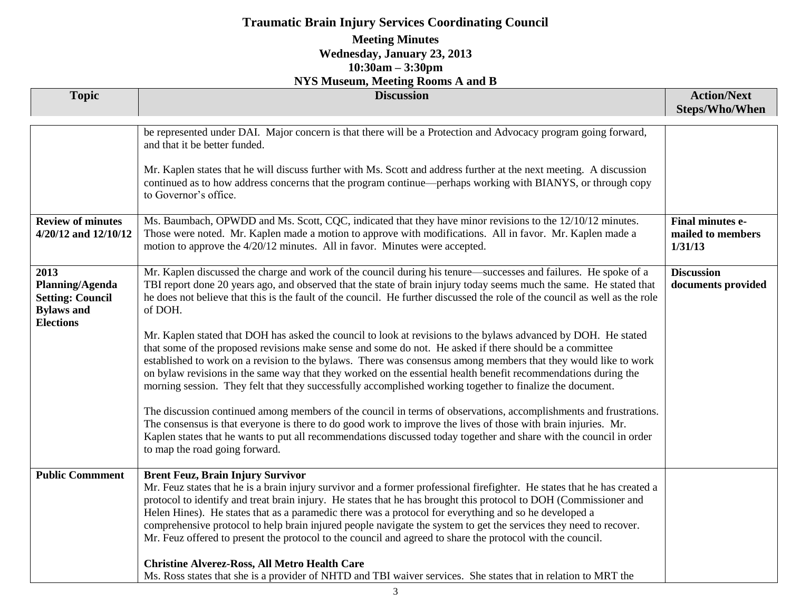# **Traumatic Brain Injury Services Coordinating Council**

### **Meeting Minutes Wednesday, January 23, 2013 10:30am – 3:30pm**

| <b>NYS Museum, Meeting Rooms A and B</b>                                                    |                                                                                                                                                                                                                                                                                                                                                                                                                                                                                                                                                                                                                                                                                                                                                                                                                                                                                                                                                                                                                                                                                                                                                                                                                                                                                                                                                                 |                                                         |  |  |
|---------------------------------------------------------------------------------------------|-----------------------------------------------------------------------------------------------------------------------------------------------------------------------------------------------------------------------------------------------------------------------------------------------------------------------------------------------------------------------------------------------------------------------------------------------------------------------------------------------------------------------------------------------------------------------------------------------------------------------------------------------------------------------------------------------------------------------------------------------------------------------------------------------------------------------------------------------------------------------------------------------------------------------------------------------------------------------------------------------------------------------------------------------------------------------------------------------------------------------------------------------------------------------------------------------------------------------------------------------------------------------------------------------------------------------------------------------------------------|---------------------------------------------------------|--|--|
| <b>Topic</b>                                                                                | <b>Discussion</b>                                                                                                                                                                                                                                                                                                                                                                                                                                                                                                                                                                                                                                                                                                                                                                                                                                                                                                                                                                                                                                                                                                                                                                                                                                                                                                                                               | <b>Action/Next</b><br><b>Steps/Who/When</b>             |  |  |
|                                                                                             | be represented under DAI. Major concern is that there will be a Protection and Advocacy program going forward,<br>and that it be better funded.<br>Mr. Kaplen states that he will discuss further with Ms. Scott and address further at the next meeting. A discussion<br>continued as to how address concerns that the program continue—perhaps working with BIANYS, or through copy<br>to Governor's office.                                                                                                                                                                                                                                                                                                                                                                                                                                                                                                                                                                                                                                                                                                                                                                                                                                                                                                                                                  |                                                         |  |  |
| <b>Review of minutes</b><br>4/20/12 and 12/10/12                                            | Ms. Baumbach, OPWDD and Ms. Scott, CQC, indicated that they have minor revisions to the 12/10/12 minutes.<br>Those were noted. Mr. Kaplen made a motion to approve with modifications. All in favor. Mr. Kaplen made a<br>motion to approve the 4/20/12 minutes. All in favor. Minutes were accepted.                                                                                                                                                                                                                                                                                                                                                                                                                                                                                                                                                                                                                                                                                                                                                                                                                                                                                                                                                                                                                                                           | <b>Final minutes e-</b><br>mailed to members<br>1/31/13 |  |  |
| 2013<br>Planning/Agenda<br><b>Setting: Council</b><br><b>Bylaws</b> and<br><b>Elections</b> | Mr. Kaplen discussed the charge and work of the council during his tenure—successes and failures. He spoke of a<br>TBI report done 20 years ago, and observed that the state of brain injury today seems much the same. He stated that<br>he does not believe that this is the fault of the council. He further discussed the role of the council as well as the role<br>of DOH.<br>Mr. Kaplen stated that DOH has asked the council to look at revisions to the bylaws advanced by DOH. He stated<br>that some of the proposed revisions make sense and some do not. He asked if there should be a committee<br>established to work on a revision to the bylaws. There was consensus among members that they would like to work<br>on bylaw revisions in the same way that they worked on the essential health benefit recommendations during the<br>morning session. They felt that they successfully accomplished working together to finalize the document.<br>The discussion continued among members of the council in terms of observations, accomplishments and frustrations.<br>The consensus is that everyone is there to do good work to improve the lives of those with brain injuries. Mr.<br>Kaplen states that he wants to put all recommendations discussed today together and share with the council in order<br>to map the road going forward. | <b>Discussion</b><br>documents provided                 |  |  |
| <b>Public Commment</b>                                                                      | <b>Brent Feuz, Brain Injury Survivor</b><br>Mr. Feuz states that he is a brain injury survivor and a former professional firefighter. He states that he has created a<br>protocol to identify and treat brain injury. He states that he has brought this protocol to DOH (Commissioner and<br>Helen Hines). He states that as a paramedic there was a protocol for everything and so he developed a<br>comprehensive protocol to help brain injured people navigate the system to get the services they need to recover.<br>Mr. Feuz offered to present the protocol to the council and agreed to share the protocol with the council.<br><b>Christine Alverez-Ross, All Metro Health Care</b><br>Ms. Ross states that she is a provider of NHTD and TBI waiver services. She states that in relation to MRT the                                                                                                                                                                                                                                                                                                                                                                                                                                                                                                                                                |                                                         |  |  |